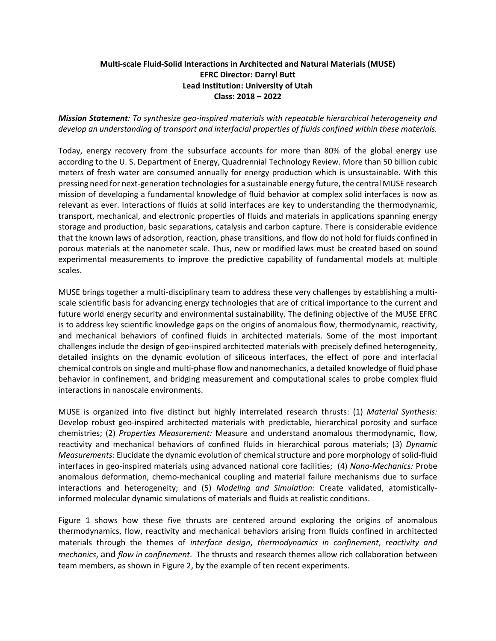## **Multi-scale Fluid-Solid Interactions in Architected and Natural Materials (MUSE) EFRC Director: Darryl Butt Lead Institution: University of Utah Class: 2018 – 2022**

*Mission Statement: To synthesize geo-inspired materials with repeatable hierarchical heterogeneity and develop an understanding of transport and interfacial properties of fluids confined within these materials.* 

Today, energy recovery from the subsurface accounts for more than 80% of the global energy use according to the U. S. Department of Energy, Quadrennial Technology Review. More than 50 billion cubic meters of fresh water are consumed annually for energy production which is unsustainable. With this pressing need for next‐generation technologies for a sustainable energy future, the central MUSE research mission of developing a fundamental knowledge of fluid behavior at complex solid interfaces is now as relevant as ever. Interactions of fluids at solid interfaces are key to understanding the thermodynamic, transport, mechanical, and electronic properties of fluids and materials in applications spanning energy storage and production, basic separations, catalysis and carbon capture. There is considerable evidence that the known laws of adsorption, reaction, phase transitions, and flow do not hold for fluids confined in porous materials at the nanometer scale. Thus, new or modified laws must be created based on sound experimental measurements to improve the predictive capability of fundamental models at multiple scales.

MUSE brings together a multi-disciplinary team to address these very challenges by establishing a multiscale scientific basis for advancing energy technologies that are of critical importance to the current and future world energy security and environmental sustainability. The defining objective of the MUSE EFRC is to address key scientific knowledge gaps on the origins of anomalous flow, thermodynamic, reactivity, and mechanical behaviors of confined fluids in architected materials. Some of the most important challenges include the design of geo-inspired architected materials with precisely defined heterogeneity, detailed insights on the dynamic evolution of siliceous interfaces, the effect of pore and interfacial chemical controls on single and multi‐phase flow and nanomechanics, a detailed knowledge of fluid phase behavior in confinement, and bridging measurement and computational scales to probe complex fluid interactions in nanoscale environments.

MUSE is organized into five distinct but highly interrelated research thrusts: (1) *Material Synthesis:*  Develop robust geo-inspired architected materials with predictable, hierarchical porosity and surface chemistries; (2) *Properties Measurement:* Measure and understand anomalous thermodynamic, flow, reactivity and mechanical behaviors of confined fluids in hierarchical porous materials; (3) *Dynamic Measurements:* Elucidate the dynamic evolution of chemical structure and pore morphology of solid‐fluid interfaces in geo-inspired materials using advanced national core facilities; (4) *Nano-Mechanics:* Probe anomalous deformation, chemo‐mechanical coupling and material failure mechanisms due to surface interactions and heterogeneity; and (5) *Modeling and Simulation:* Create validated, atomistically‐ informed molecular dynamic simulations of materials and fluids at realistic conditions.

Figure 1 shows how these five thrusts are centered around exploring the origins of anomalous thermodynamics, flow, reactivity and mechanical behaviors arising from fluids confined in architected materials through the themes of *interface design*, *thermodynamics in confinement*, *reactivity and mechanics*, and *flow in confinement*. The thrusts and research themes allow rich collaboration between team members, as shown in Figure 2, by the example of ten recent experiments.